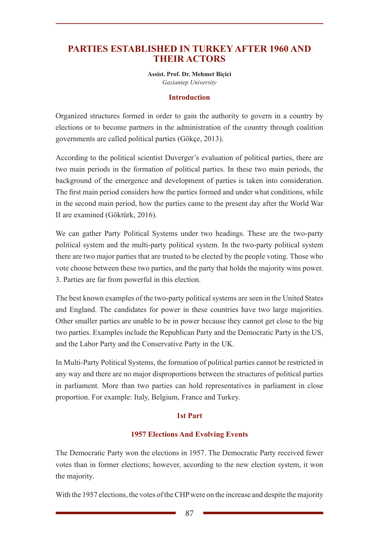# **PARTIES ESTABLISHED IN TURKEY AFTER 1960 AND THEIR ACTORS**

#### **Assist. Prof. Dr. Mehmet Biçici** *Gaziantep University*

#### **Introduction**

Organized structures formed in order to gain the authority to govern in a country by elections or to become partners in the administration of the country through coalition governments are called political parties (Gökçe, 2013).

According to the political scientist Duverger's evaluation of political parties, there are two main periods in the formation of political parties. In these two main periods, the background of the emergence and development of parties is taken into consideration. The first main period considers how the parties formed and under what conditions, while in the second main period, how the parties came to the present day after the World War II are examined (Göktürk, 2016).

We can gather Party Political Systems under two headings. These are the two-party political system and the multi-party political system. In the two-party political system there are two major parties that are trusted to be elected by the people voting. Those who vote choose between these two parties, and the party that holds the majority wins power. 3. Parties are far from powerful in this election.

The best known examples of the two-party political systems are seen in the United States and England. The candidates for power in these countries have two large majorities. Other smaller parties are unable to be in power because they cannot get close to the big two parties. Examples include the Republican Party and the Democratic Party in the US, and the Labor Party and the Conservative Party in the UK.

In Multi-Party Political Systems, the formation of political parties cannot be restricted in any way and there are no major disproportions between the structures of political parties in parliament. More than two parties can hold representatives in parliament in close proportion. For example: Italy, Belgium, France and Turkey.

# **1st Part**

# **1957 Elections And Evolving Events**

The Democratic Party won the elections in 1957. The Democratic Party received fewer votes than in former elections; however, according to the new election system, it won the majority.

With the 1957 elections, the votes of the CHP were on the increase and despite the majority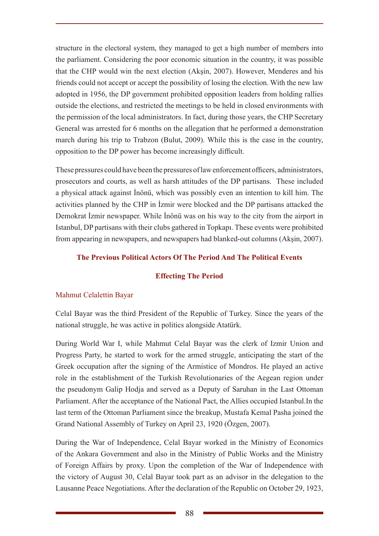structure in the electoral system, they managed to get a high number of members into the parliament. Considering the poor economic situation in the country, it was possible that the CHP would win the next election (Akşin, 2007). However, Menderes and his friends could not accept or accept the possibility of losing the election. With the new law adopted in 1956, the DP government prohibited opposition leaders from holding rallies outside the elections, and restricted the meetings to be held in closed environments with the permission of the local administrators. In fact, during those years, the CHP Secretary General was arrested for 6 months on the allegation that he performed a demonstration march during his trip to Trabzon (Bulut, 2009). While this is the case in the country, opposition to the DP power has become increasingly difficult.

These pressures could have been the pressures of law enforcement officers, administrators, prosecutors and courts, as well as harsh attitudes of the DP partisans. These included a physical attack against İnönü, which was possibly even an intention to kill him. The activities planned by the CHP in İzmir were blocked and the DP partisans attacked the Demokrat İzmir newspaper. While İnönü was on his way to the city from the airport in Istanbul, DP partisans with their clubs gathered in Topkapı. These events were prohibited from appearing in newspapers, and newspapers had blanked-out columns (Akşin, 2007).

# **The Previous Political Actors Of The Period And The Political Events**

# **Effecting The Period**

# Mahmut Celalettin Bayar

Celal Bayar was the third President of the Republic of Turkey. Since the years of the national struggle, he was active in politics alongside Atatürk.

During World War I, while Mahmut Celal Bayar was the clerk of Izmir Union and Progress Party, he started to work for the armed struggle, anticipating the start of the Greek occupation after the signing of the Armistice of Mondros. He played an active role in the establishment of the Turkish Revolutionaries of the Aegean region under the pseudonym Galip Hodja and served as a Deputy of Saruhan in the Last Ottoman Parliament. After the acceptance of the National Pact, the Allies occupied Istanbul.In the last term of the Ottoman Parliament since the breakup, Mustafa Kemal Pasha joined the Grand National Assembly of Turkey on April 23, 1920 (Özgen, 2007).

During the War of Independence, Celal Bayar worked in the Ministry of Economics of the Ankara Government and also in the Ministry of Public Works and the Ministry of Foreign Affairs by proxy. Upon the completion of the War of Independence with the victory of August 30, Celal Bayar took part as an advisor in the delegation to the Lausanne Peace Negotiations. After the declaration of the Republic on October 29, 1923,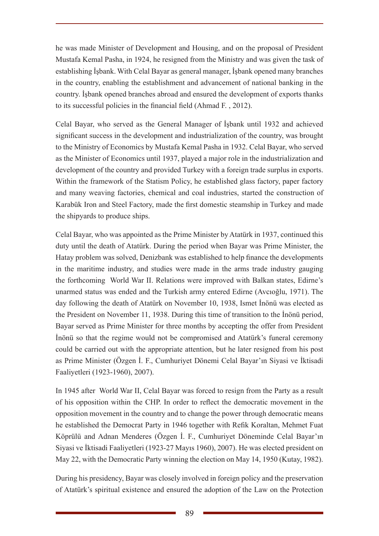he was made Minister of Development and Housing, and on the proposal of President Mustafa Kemal Pasha, in 1924, he resigned from the Ministry and was given the task of establishing İşbank. With Celal Bayar as general manager, İşbank opened many branches in the country, enabling the establishment and advancement of national banking in the country. İşbank opened branches abroad and ensured the development of exports thanks to its successful policies in the financial field (Ahmad F. , 2012).

Celal Bayar, who served as the General Manager of İşbank until 1932 and achieved significant success in the development and industrialization of the country, was brought to the Ministry of Economics by Mustafa Kemal Pasha in 1932. Celal Bayar, who served as the Minister of Economics until 1937, played a major role in the industrialization and development of the country and provided Turkey with a foreign trade surplus in exports. Within the framework of the Statism Policy, he established glass factory, paper factory and many weaving factories, chemical and coal industries, started the construction of Karabük Iron and Steel Factory, made the first domestic steamship in Turkey and made the shipyards to produce ships.

Celal Bayar, who was appointed as the Prime Minister by Atatürk in 1937, continued this duty until the death of Atatürk. During the period when Bayar was Prime Minister, the Hatay problem was solved, Denizbank was established to help finance the developments in the maritime industry, and studies were made in the arms trade industry gauging the forthcoming World War II. Relations were improved with Balkan states, Edirne's unarmed status was ended and the Turkish army entered Edirne (Avcıoğlu, 1971). The day following the death of Atatürk on November 10, 1938, Ismet İnönü was elected as the President on November 11, 1938. During this time of transition to the İnönü period, Bayar served as Prime Minister for three months by accepting the offer from President İnönü so that the regime would not be compromised and Atatürk's funeral ceremony could be carried out with the appropriate attention, but he later resigned from his post as Prime Minister (Özgen İ. F., Cumhuriyet Dönemi Celal Bayar'ın Siyasi ve İktisadi Faaliyetleri (1923-1960), 2007).

In 1945 after World War II, Celal Bayar was forced to resign from the Party as a result of his opposition within the CHP. In order to reflect the democratic movement in the opposition movement in the country and to change the power through democratic means he established the Democrat Party in 1946 together with Refik Koraltan, Mehmet Fuat Köprülü and Adnan Menderes (Özgen İ. F., Cumhuriyet Döneminde Celal Bayar'ın Siyasi ve İktisadi Faaliyetleri (1923-27 Mayıs 1960), 2007). He was elected president on May 22, with the Democratic Party winning the election on May 14, 1950 (Kutay, 1982).

During his presidency, Bayar was closely involved in foreign policy and the preservation of Atatürk's spiritual existence and ensured the adoption of the Law on the Protection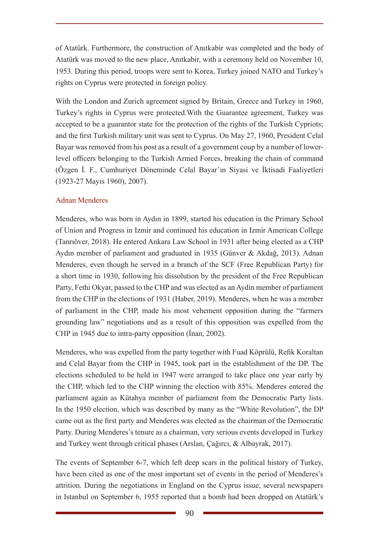of Atatürk. Furthermore, the construction of Anıtkabir was completed and the body of Atatürk was moved to the new place, Anıtkabir, with a ceremony held on November 10, 1953. During this period, troops were sent to Korea, Turkey joined NATO and Turkey's rights on Cyprus were protected in foreign policy.

With the London and Zurich agreement signed by Britain, Greece and Turkey in 1960, Turkey's rights in Cyprus were protected.With the Guarantee agreement, Turkey was accepted to be a guarantor state for the protection of the rights of the Turkish Cypriots; and the first Turkish military unit was sent to Cyprus. On May 27, 1960, President Celal Bayar was removed from his post as a result of a government coup by a number of lowerlevel officers belonging to the Turkish Armed Forces, breaking the chain of command (Özgen İ. F., Cumhuriyet Döneminde Celal Bayar'ın Siyasi ve İktisadi Faaliyetleri (1923-27 Mayıs 1960), 2007).

# Adnan Menderes

Menderes, who was born in Aydın in 1899, started his education in the Primary School of Union and Progress in Izmir and continued his education in Izmir American College (Tanrıöver, 2018). He entered Ankara Law School in 1931 after being elected as a CHP Aydın member of parliament and graduated in 1935 (Günver & Akdağ, 2013). Adnan Menderes, even though he served in a branch of the SCF (Free Republican Party) for a short time in 1930, following his dissolution by the president of the Free Republican Party, Fethi Okyar, passed to the CHP and was elected as an Aydin member of parliament from the CHP in the elections of 1931 (Haber, 2019). Menderes, when he was a member of parliament in the CHP, made his most vehement opposition during the "farmers grounding law" negotiations and as a result of this opposition was expelled from the CHP in 1945 due to intra-party opposition (İnan, 2002).

Menderes, who was expelled from the party together with Fuad Köprülü, Refik Koraltan and Celal Bayar from the CHP in 1945, took part in the establishment of the DP. The elections scheduled to be held in 1947 were arranged to take place one year early by the CHP, which led to the CHP winning the election with 85%. Menderes entered the parliament again as Kütahya member of parliament from the Democratic Party lists. In the 1950 election, which was described by many as the "White Revolution", the DP came out as the first party and Menderes was elected as the chairman of the Democratic Party. During Menderes's tenure as a chairman, very serious events developed in Turkey and Turkey went through critical phases (Arslan, Çağırcı, & Albayrak, 2017).

The events of September 6-7, which left deep scars in the political history of Turkey, have been cited as one of the most important set of events in the period of Menderes's attrition. During the negotiations in England on the Cyprus issue, several newspapers in Istanbul on September 6, 1955 reported that a bomb had been dropped on Atatürk's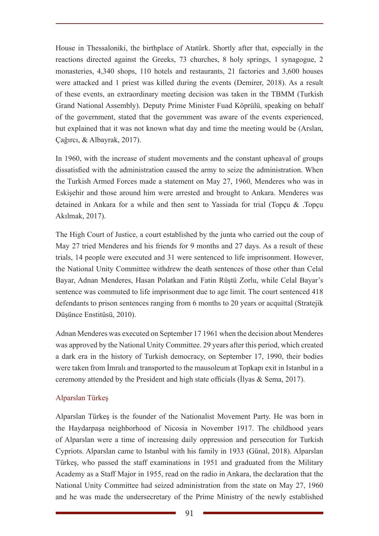House in Thessaloniki, the birthplace of Atatürk. Shortly after that, especially in the reactions directed against the Greeks, 73 churches, 8 holy springs, 1 synagogue, 2 monasteries, 4,340 shops, 110 hotels and restaurants, 21 factories and 3,600 houses were attacked and 1 priest was killed during the events (Demirer, 2018). As a result of these events, an extraordinary meeting decision was taken in the TBMM (Turkish Grand National Assembly). Deputy Prime Minister Fuad Köprülü, speaking on behalf of the government, stated that the government was aware of the events experienced, but explained that it was not known what day and time the meeting would be (Arslan, Çağırcı, & Albayrak, 2017).

In 1960, with the increase of student movements and the constant upheaval of groups dissatisfied with the administration caused the army to seize the administration. When the Turkish Armed Forces made a statement on May 27, 1960, Menderes who was in Eskişehir and those around him were arrested and brought to Ankara. Menderes was detained in Ankara for a while and then sent to Yassiada for trial (Topçu & .Topçu Akılmak, 2017).

The High Court of Justice, a court established by the junta who carried out the coup of May 27 tried Menderes and his friends for 9 months and 27 days. As a result of these trials, 14 people were executed and 31 were sentenced to life imprisonment. However, the National Unity Committee withdrew the death sentences of those other than Celal Bayar, Adnan Menderes, Hasan Polatkan and Fatin Rüştü Zorlu, while Celal Bayar's sentence was commuted to life imprisonment due to age limit. The court sentenced 418 defendants to prison sentences ranging from 6 months to 20 years or acquittal (Stratejik Düşünce Enstitüsü, 2010).

Adnan Menderes was executed on September 17 1961 when the decision about Menderes was approved by the National Unity Committee. 29 years after this period, which created a dark era in the history of Turkish democracy, on September 17, 1990, their bodies were taken from İmralı and transported to the mausoleum at Topkapı exit in Istanbul in a ceremony attended by the President and high state officials (İlyas & Sema, 2017).

# Alparslan Türkeş

Alparslan Türkeş is the founder of the Nationalist Movement Party. He was born in the Haydarpaşa neighborhood of Nicosia in November 1917. The childhood years of Alparslan were a time of increasing daily oppression and persecution for Turkish Cypriots. Alparslan came to Istanbul with his family in 1933 (Günal, 2018). Alparslan Türkeş, who passed the staff examinations in 1951 and graduated from the Military Academy as a Staff Major in 1955, read on the radio in Ankara, the declaration that the National Unity Committee had seized administration from the state on May 27, 1960 and he was made the undersecretary of the Prime Ministry of the newly established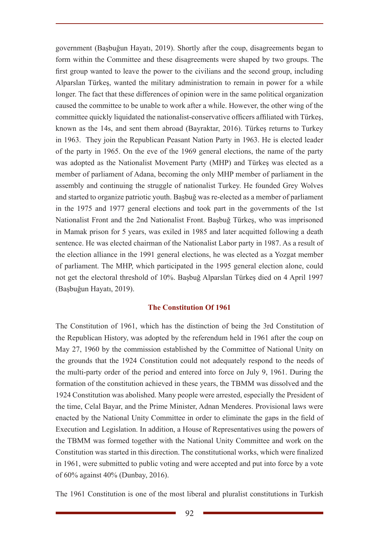government (Başbuğun Hayatı, 2019). Shortly after the coup, disagreements began to form within the Committee and these disagreements were shaped by two groups. The first group wanted to leave the power to the civilians and the second group, including Alparslan Türkeş, wanted the military administration to remain in power for a while longer. The fact that these differences of opinion were in the same political organization caused the committee to be unable to work after a while. However, the other wing of the committee quickly liquidated the nationalist-conservative officers affiliated with Türkeş, known as the 14s, and sent them abroad (Bayraktar, 2016). Türkeş returns to Turkey in 1963. They join the Republican Peasant Nation Party in 1963. He is elected leader of the party in 1965. On the eve of the 1969 general elections, the name of the party was adopted as the Nationalist Movement Party (MHP) and Türkeş was elected as a member of parliament of Adana, becoming the only MHP member of parliament in the assembly and continuing the struggle of nationalist Turkey. He founded Grey Wolves and started to organize patriotic youth. Başbuğ was re-elected as a member of parliament in the 1975 and 1977 general elections and took part in the governments of the 1st Nationalist Front and the 2nd Nationalist Front. Başbuğ Türkeş, who was imprisoned in Mamak prison for 5 years, was exiled in 1985 and later acquitted following a death sentence. He was elected chairman of the Nationalist Labor party in 1987. As a result of the election alliance in the 1991 general elections, he was elected as a Yozgat member of parliament. The MHP, which participated in the 1995 general election alone, could not get the electoral threshold of 10%. Başbuğ Alparslan Türkeş died on 4 April 1997 (Başbuğun Hayatı, 2019).

#### **The Constitution Of 1961**

The Constitution of 1961, which has the distinction of being the 3rd Constitution of the Republican History, was adopted by the referendum held in 1961 after the coup on May 27, 1960 by the commission established by the Committee of National Unity on the grounds that the 1924 Constitution could not adequately respond to the needs of the multi-party order of the period and entered into force on July 9, 1961. During the formation of the constitution achieved in these years, the TBMM was dissolved and the 1924 Constitution was abolished. Many people were arrested, especially the President of the time, Celal Bayar, and the Prime Minister, Adnan Menderes. Provisional laws were enacted by the National Unity Committee in order to eliminate the gaps in the field of Execution and Legislation. In addition, a House of Representatives using the powers of the TBMM was formed together with the National Unity Committee and work on the Constitution was started in this direction. The constitutional works, which were finalized in 1961, were submitted to public voting and were accepted and put into force by a vote of 60% against 40% (Dunbay, 2016).

The 1961 Constitution is one of the most liberal and pluralist constitutions in Turkish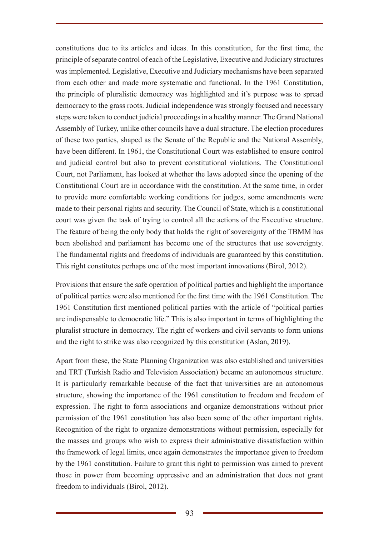constitutions due to its articles and ideas. In this constitution, for the first time, the principle of separate control of each of the Legislative, Executive and Judiciary structures was implemented. Legislative, Executive and Judiciary mechanisms have been separated from each other and made more systematic and functional. In the 1961 Constitution, the principle of pluralistic democracy was highlighted and it's purpose was to spread democracy to the grass roots. Judicial independence was strongly focused and necessary steps were taken to conduct judicial proceedings in a healthy manner. The Grand National Assembly of Turkey, unlike other councils have a dual structure. The election procedures of these two parties, shaped as the Senate of the Republic and the National Assembly, have been different. In 1961, the Constitutional Court was established to ensure control and judicial control but also to prevent constitutional violations. The Constitutional Court, not Parliament, has looked at whether the laws adopted since the opening of the Constitutional Court are in accordance with the constitution. At the same time, in order to provide more comfortable working conditions for judges, some amendments were made to their personal rights and security. The Council of State, which is a constitutional court was given the task of trying to control all the actions of the Executive structure. The feature of being the only body that holds the right of sovereignty of the TBMM has been abolished and parliament has become one of the structures that use sovereignty. The fundamental rights and freedoms of individuals are guaranteed by this constitution. This right constitutes perhaps one of the most important innovations (Birol, 2012).

Provisions that ensure the safe operation of political parties and highlight the importance of political parties were also mentioned for the first time with the 1961 Constitution. The 1961 Constitution first mentioned political parties with the article of "political parties are indispensable to democratic life." This is also important in terms of highlighting the pluralist structure in democracy. The right of workers and civil servants to form unions and the right to strike was also recognized by this constitution (Aslan, 2019).

Apart from these, the State Planning Organization was also established and universities and TRT (Turkish Radio and Television Association) became an autonomous structure. It is particularly remarkable because of the fact that universities are an autonomous structure, showing the importance of the 1961 constitution to freedom and freedom of expression. The right to form associations and organize demonstrations without prior permission of the 1961 constitution has also been some of the other important rights. Recognition of the right to organize demonstrations without permission, especially for the masses and groups who wish to express their administrative dissatisfaction within the framework of legal limits, once again demonstrates the importance given to freedom by the 1961 constitution. Failure to grant this right to permission was aimed to prevent those in power from becoming oppressive and an administration that does not grant freedom to individuals (Birol, 2012).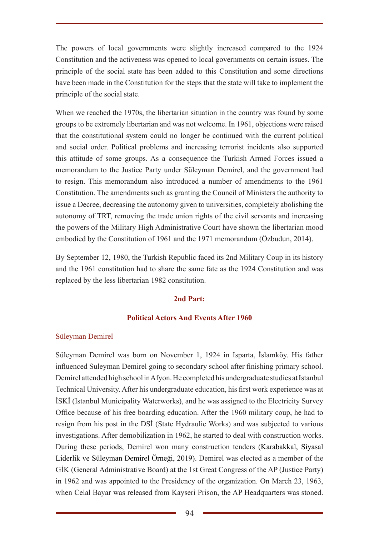The powers of local governments were slightly increased compared to the 1924 Constitution and the activeness was opened to local governments on certain issues. The principle of the social state has been added to this Constitution and some directions have been made in the Constitution for the steps that the state will take to implement the principle of the social state.

When we reached the 1970s, the libertarian situation in the country was found by some groups to be extremely libertarian and was not welcome. In 1961, objections were raised that the constitutional system could no longer be continued with the current political and social order. Political problems and increasing terrorist incidents also supported this attitude of some groups. As a consequence the Turkish Armed Forces issued a memorandum to the Justice Party under Süleyman Demirel, and the government had to resign. This memorandum also introduced a number of amendments to the 1961 Constitution. The amendments such as granting the Council of Ministers the authority to issue a Decree, decreasing the autonomy given to universities, completely abolishing the autonomy of TRT, removing the trade union rights of the civil servants and increasing the powers of the Military High Administrative Court have shown the libertarian mood embodied by the Constitution of 1961 and the 1971 memorandum (Özbudun, 2014).

By September 12, 1980, the Turkish Republic faced its 2nd Military Coup in its history and the 1961 constitution had to share the same fate as the 1924 Constitution and was replaced by the less libertarian 1982 constitution.

#### **2nd Part:**

#### **Political Actors And Events After 1960**

#### Süleyman Demirel

Süleyman Demirel was born on November 1, 1924 in Isparta, İslamköy. His father influenced Suleyman Demirel going to secondary school after finishing primary school. Demirel attended high school in Afyon. He completed his undergraduate studies at Istanbul Technical University. After his undergraduate education, his first work experience was at İSKİ (Istanbul Municipality Waterworks), and he was assigned to the Electricity Survey Office because of his free boarding education. After the 1960 military coup, he had to resign from his post in the DSİ (State Hydraulic Works) and was subjected to various investigations. After demobilization in 1962, he started to deal with construction works. During these periods, Demirel won many construction tenders (Karabakkal, Siyasal Liderlik ve Süleyman Demirel Örneği, 2019). Demirel was elected as a member of the GİK (General Administrative Board) at the 1st Great Congress of the AP (Justice Party) in 1962 and was appointed to the Presidency of the organization. On March 23, 1963, when Celal Bayar was released from Kayseri Prison, the AP Headquarters was stoned.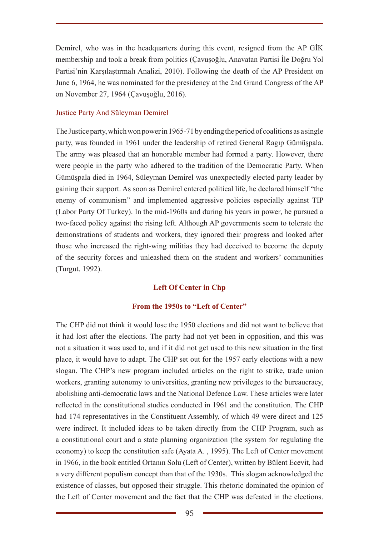Demirel, who was in the headquarters during this event, resigned from the AP GİK membership and took a break from politics (Çavuşoğlu, Anavatan Partisi İle Doğru Yol Partisi'nin Karşılaştırmalı Analizi, 2010). Following the death of the AP President on June 6, 1964, he was nominated for the presidency at the 2nd Grand Congress of the AP on November 27, 1964 (Çavuşoğlu, 2016).

#### Justice Party And Süleyman Demirel

The Justice party, which won power in 1965-71 by ending the period of coalitions as a single party, was founded in 1961 under the leadership of retired General Ragıp Gümüşpala. The army was pleased that an honorable member had formed a party. However, there were people in the party who adhered to the tradition of the Democratic Party. When Gümüşpala died in 1964, Süleyman Demirel was unexpectedly elected party leader by gaining their support. As soon as Demirel entered political life, he declared himself "the enemy of communism" and implemented aggressive policies especially against TIP (Labor Party Of Turkey). In the mid-1960s and during his years in power, he pursued a two-faced policy against the rising left. Although AP governments seem to tolerate the demonstrations of students and workers, they ignored their progress and looked after those who increased the right-wing militias they had deceived to become the deputy of the security forces and unleashed them on the student and workers' communities (Turgut, 1992).

# **Left Of Center in Chp**

# **From the 1950s to "Left of Center"**

The CHP did not think it would lose the 1950 elections and did not want to believe that it had lost after the elections. The party had not yet been in opposition, and this was not a situation it was used to, and if it did not get used to this new situation in the first place, it would have to adapt. The CHP set out for the 1957 early elections with a new slogan. The CHP's new program included articles on the right to strike, trade union workers, granting autonomy to universities, granting new privileges to the bureaucracy, abolishing anti-democratic laws and the National Defence Law. These articles were later reflected in the constitutional studies conducted in 1961 and the constitution. The CHP had 174 representatives in the Constituent Assembly, of which 49 were direct and 125 were indirect. It included ideas to be taken directly from the CHP Program, such as a constitutional court and a state planning organization (the system for regulating the economy) to keep the constitution safe (Ayata A. , 1995). The Left of Center movement in 1966, in the book entitled Ortanın Solu (Left of Center), written by Bülent Ecevit, had a very different populism concept than that of the 1930s. This slogan acknowledged the existence of classes, but opposed their struggle. This rhetoric dominated the opinion of the Left of Center movement and the fact that the CHP was defeated in the elections.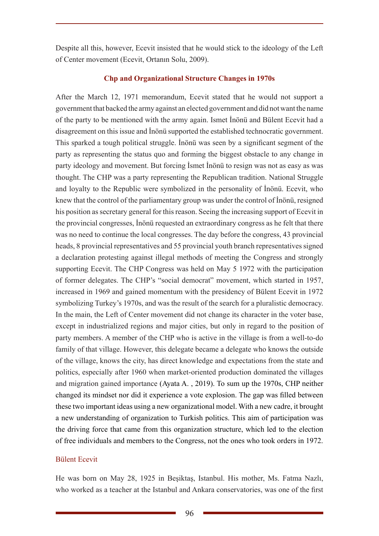Despite all this, however, Ecevit insisted that he would stick to the ideology of the Left of Center movement (Ecevit, Ortanın Solu, 2009).

#### **Chp and Organizational Structure Changes in 1970s**

After the March 12, 1971 memorandum, Ecevit stated that he would not support a government that backed the army against an elected government and did not want the name of the party to be mentioned with the army again. Ismet İnönü and Bülent Ecevit had a disagreement on this issue and İnönü supported the established technocratic government. This sparked a tough political struggle. İnönü was seen by a significant segment of the party as representing the status quo and forming the biggest obstacle to any change in party ideology and movement. But forcing İsmet İnönü to resign was not as easy as was thought. The CHP was a party representing the Republican tradition. National Struggle and loyalty to the Republic were symbolized in the personality of İnönü. Ecevit, who knew that the control of the parliamentary group was under the control of İnönü, resigned his position as secretary general for this reason. Seeing the increasing support of Ecevit in the provincial congresses, İnönü requested an extraordinary congress as he felt that there was no need to continue the local congresses. The day before the congress, 43 provincial heads, 8 provincial representatives and 55 provincial youth branch representatives signed a declaration protesting against illegal methods of meeting the Congress and strongly supporting Ecevit. The CHP Congress was held on May 5 1972 with the participation of former delegates. The CHP's "social democrat" movement, which started in 1957, increased in 1969 and gained momentum with the presidency of Bülent Ecevit in 1972 symbolizing Turkey's 1970s, and was the result of the search for a pluralistic democracy. In the main, the Left of Center movement did not change its character in the voter base, except in industrialized regions and major cities, but only in regard to the position of party members. A member of the CHP who is active in the village is from a well-to-do family of that village. However, this delegate became a delegate who knows the outside of the village, knows the city, has direct knowledge and expectations from the state and politics, especially after 1960 when market-oriented production dominated the villages and migration gained importance (Ayata A. , 2019). To sum up the 1970s, CHP neither changed its mindset nor did it experience a vote explosion. The gap was filled between these two important ideas using a new organizational model. With a new cadre, it brought a new understanding of organization to Turkish politics. This aim of participation was the driving force that came from this organization structure, which led to the election of free individuals and members to the Congress, not the ones who took orders in 1972.

#### Bülent Ecevit

He was born on May 28, 1925 in Beşiktaş, Istanbul. His mother, Ms. Fatma Nazlı, who worked as a teacher at the Istanbul and Ankara conservatories, was one of the first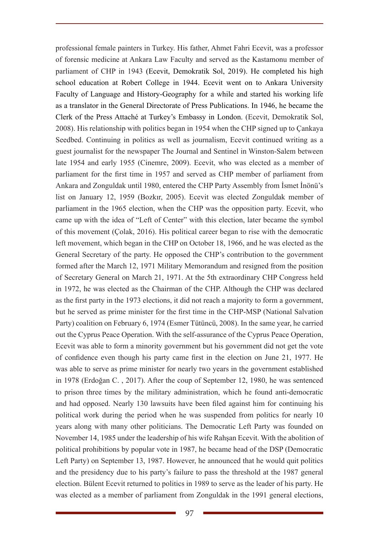professional female painters in Turkey. His father, Ahmet Fahri Ecevit, was a professor of forensic medicine at Ankara Law Faculty and served as the Kastamonu member of parliament of CHP in 1943 (Ecevit, Demokratik Sol, 2019). He completed his high school education at Robert College in 1944. Ecevit went on to Ankara University Faculty of Language and History-Geography for a while and started his working life as a translator in the General Directorate of Press Publications. In 1946, he became the Clerk of the Press Attaché at Turkey's Embassy in London. (Ecevit, Demokratik Sol, 2008). His relationship with politics began in 1954 when the CHP signed up to Çankaya Seedbed. Continuing in politics as well as journalism, Ecevit continued writing as a guest journalist for the newspaper The Journal and Sentinel in Winston-Salem between late 1954 and early 1955 (Cinemre, 2009). Ecevit, who was elected as a member of parliament for the first time in 1957 and served as CHP member of parliament from Ankara and Zonguldak until 1980, entered the CHP Party Assembly from İsmet İnönü's list on January 12, 1959 (Bozkır, 2005). Ecevit was elected Zonguldak member of parliament in the 1965 election, when the CHP was the opposition party. Ecevit, who came up with the idea of "Left of Center" with this election, later became the symbol of this movement (Çolak, 2016). His political career began to rise with the democratic left movement, which began in the CHP on October 18, 1966, and he was elected as the General Secretary of the party. He opposed the CHP's contribution to the government formed after the March 12, 1971 Military Memorandum and resigned from the position of Secretary General on March 21, 1971. At the 5th extraordinary CHP Congress held in 1972, he was elected as the Chairman of the CHP. Although the CHP was declared as the first party in the 1973 elections, it did not reach a majority to form a government, but he served as prime minister for the first time in the CHP-MSP (National Salvation Party) coalition on February 6, 1974 (Esmer Tütüncü, 2008). In the same year, he carried out the Cyprus Peace Operation. With the self-assurance of the Cyprus Peace Operation, Ecevit was able to form a minority government but his government did not get the vote of confidence even though his party came first in the election on June 21, 1977. He was able to serve as prime minister for nearly two years in the government established in 1978 (Erdoğan C. , 2017). After the coup of September 12, 1980, he was sentenced to prison three times by the military administration, which he found anti-democratic and had opposed. Nearly 130 lawsuits have been filed against him for continuing his political work during the period when he was suspended from politics for nearly 10 years along with many other politicians. The Democratic Left Party was founded on November 14, 1985 under the leadership of his wife Rahşan Ecevit. With the abolition of political prohibitions by popular vote in 1987, he became head of the DSP (Democratic Left Party) on September 13, 1987. However, he announced that he would quit politics and the presidency due to his party's failure to pass the threshold at the 1987 general election. Bülent Ecevit returned to politics in 1989 to serve as the leader of his party. He was elected as a member of parliament from Zonguldak in the 1991 general elections,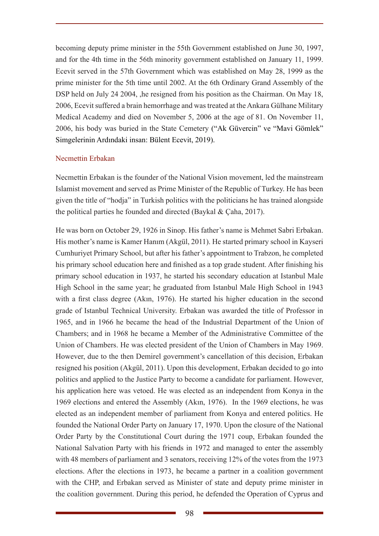becoming deputy prime minister in the 55th Government established on June 30, 1997, and for the 4th time in the 56th minority government established on January 11, 1999. Ecevit served in the 57th Government which was established on May 28, 1999 as the prime minister for the 5th time until 2002. At the 6th Ordinary Grand Assembly of the DSP held on July 24 2004, , he resigned from his position as the Chairman. On May 18, 2006, Ecevit suffered a brain hemorrhage and was treated at the Ankara Gülhane Military Medical Academy and died on November 5, 2006 at the age of 81. On November 11, 2006, his body was buried in the State Cemetery ("Ak Güvercin" ve "Mavi Gömlek" Simgelerinin Ardındaki insan: Bülent Ecevit, 2019).

# Necmettin Erbakan

Necmettin Erbakan is the founder of the National Vision movement, led the mainstream Islamist movement and served as Prime Minister of the Republic of Turkey. He has been given the title of "hodja" in Turkish politics with the politicians he has trained alongside the political parties he founded and directed (Baykal & Çaha, 2017).

He was born on October 29, 1926 in Sinop. His father's name is Mehmet Sabri Erbakan. His mother's name is Kamer Hanım (Akgül, 2011). He started primary school in Kayseri Cumhuriyet Primary School, but after his father's appointment to Trabzon, he completed his primary school education here and finished as a top grade student. After finishing his primary school education in 1937, he started his secondary education at Istanbul Male High School in the same year; he graduated from Istanbul Male High School in 1943 with a first class degree (Akın, 1976). He started his higher education in the second grade of Istanbul Technical University. Erbakan was awarded the title of Professor in 1965, and in 1966 he became the head of the Industrial Department of the Union of Chambers; and in 1968 he became a Member of the Administrative Committee of the Union of Chambers. He was elected president of the Union of Chambers in May 1969. However, due to the then Demirel government's cancellation of this decision, Erbakan resigned his position (Akgül, 2011). Upon this development, Erbakan decided to go into politics and applied to the Justice Party to become a candidate for parliament. However, his application here was vetoed. He was elected as an independent from Konya in the 1969 elections and entered the Assembly (Akın, 1976). In the 1969 elections, he was elected as an independent member of parliament from Konya and entered politics. He founded the National Order Party on January 17, 1970. Upon the closure of the National Order Party by the Constitutional Court during the 1971 coup, Erbakan founded the National Salvation Party with his friends in 1972 and managed to enter the assembly with 48 members of parliament and 3 senators, receiving 12% of the votes from the 1973 elections. After the elections in 1973, he became a partner in a coalition government with the CHP, and Erbakan served as Minister of state and deputy prime minister in the coalition government. During this period, he defended the Operation of Cyprus and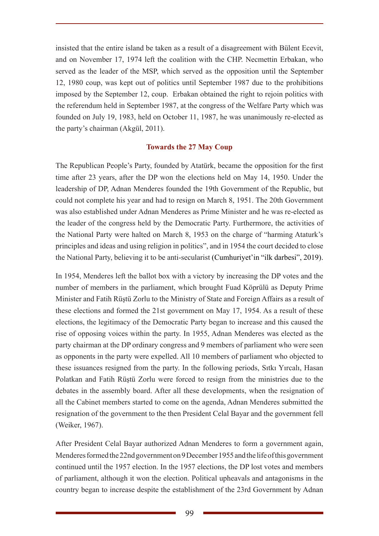insisted that the entire island be taken as a result of a disagreement with Bülent Ecevit, and on November 17, 1974 left the coalition with the CHP. Necmettin Erbakan, who served as the leader of the MSP, which served as the opposition until the September 12, 1980 coup, was kept out of politics until September 1987 due to the prohibitions imposed by the September 12, coup. Erbakan obtained the right to rejoin politics with the referendum held in September 1987, at the congress of the Welfare Party which was founded on July 19, 1983, held on October 11, 1987, he was unanimously re-elected as the party's chairman (Akgül, 2011).

#### **Towards the 27 May Coup**

The Republican People's Party, founded by Atatürk, became the opposition for the first time after 23 years, after the DP won the elections held on May 14, 1950. Under the leadership of DP, Adnan Menderes founded the 19th Government of the Republic, but could not complete his year and had to resign on March 8, 1951. The 20th Government was also established under Adnan Menderes as Prime Minister and he was re-elected as the leader of the congress held by the Democratic Party. Furthermore, the activities of the National Party were halted on March 8, 1953 on the charge of "harming Ataturk's principles and ideas and using religion in politics", and in 1954 the court decided to close the National Party, believing it to be anti-secularist (Cumhuriyet'in "ilk darbesi", 2019).

In 1954, Menderes left the ballot box with a victory by increasing the DP votes and the number of members in the parliament, which brought Fuad Köprülü as Deputy Prime Minister and Fatih Rüştü Zorlu to the Ministry of State and Foreign Affairs as a result of these elections and formed the 21st government on May 17, 1954. As a result of these elections, the legitimacy of the Democratic Party began to increase and this caused the rise of opposing voices within the party. In 1955, Adnan Menderes was elected as the party chairman at the DP ordinary congress and 9 members of parliament who were seen as opponents in the party were expelled. All 10 members of parliament who objected to these issuances resigned from the party. In the following periods, Sıtkı Yırcalı, Hasan Polatkan and Fatih Rüştü Zorlu were forced to resign from the ministries due to the debates in the assembly board. After all these developments, when the resignation of all the Cabinet members started to come on the agenda, Adnan Menderes submitted the resignation of the government to the then President Celal Bayar and the government fell (Weiker, 1967).

After President Celal Bayar authorized Adnan Menderes to form a government again, Menderes formed the 22nd government on 9 December 1955 and the life of this government continued until the 1957 election. In the 1957 elections, the DP lost votes and members of parliament, although it won the election. Political upheavals and antagonisms in the country began to increase despite the establishment of the 23rd Government by Adnan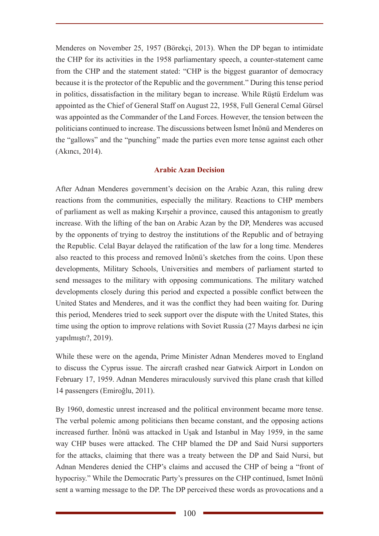Menderes on November 25, 1957 (Börekçi, 2013). When the DP began to intimidate the CHP for its activities in the 1958 parliamentary speech, a counter-statement came from the CHP and the statement stated: "CHP is the biggest guarantor of democracy because it is the protector of the Republic and the government." During this tense period in politics, dissatisfaction in the military began to increase. While Rüştü Erdelum was appointed as the Chief of General Staff on August 22, 1958, Full General Cemal Gürsel was appointed as the Commander of the Land Forces. However, the tension between the politicians continued to increase. The discussions between İsmet İnönü and Menderes on the "gallows" and the "punching" made the parties even more tense against each other (Akıncı, 2014).

# **Arabic Azan Decision**

After Adnan Menderes government's decision on the Arabic Azan, this ruling drew reactions from the communities, especially the military. Reactions to CHP members of parliament as well as making Kırşehir a province, caused this antagonism to greatly increase. With the lifting of the ban on Arabic Azan by the DP, Menderes was accused by the opponents of trying to destroy the institutions of the Republic and of betraying the Republic. Celal Bayar delayed the ratification of the law for a long time. Menderes also reacted to this process and removed İnönü's sketches from the coins. Upon these developments, Military Schools, Universities and members of parliament started to send messages to the military with opposing communications. The military watched developments closely during this period and expected a possible conflict between the United States and Menderes, and it was the conflict they had been waiting for. During this period, Menderes tried to seek support over the dispute with the United States, this time using the option to improve relations with Soviet Russia (27 Mayıs darbesi ne için yapılmıştı?, 2019).

While these were on the agenda, Prime Minister Adnan Menderes moved to England to discuss the Cyprus issue. The aircraft crashed near Gatwick Airport in London on February 17, 1959. Adnan Menderes miraculously survived this plane crash that killed 14 passengers (Emiroğlu, 2011).

By 1960, domestic unrest increased and the political environment became more tense. The verbal polemic among politicians then became constant, and the opposing actions increased further. İnönü was attacked in Uşak and Istanbul in May 1959, in the same way CHP buses were attacked. The CHP blamed the DP and Said Nursi supporters for the attacks, claiming that there was a treaty between the DP and Said Nursi, but Adnan Menderes denied the CHP's claims and accused the CHP of being a "front of hypocrisy." While the Democratic Party's pressures on the CHP continued, Ismet Inönü sent a warning message to the DP. The DP perceived these words as provocations and a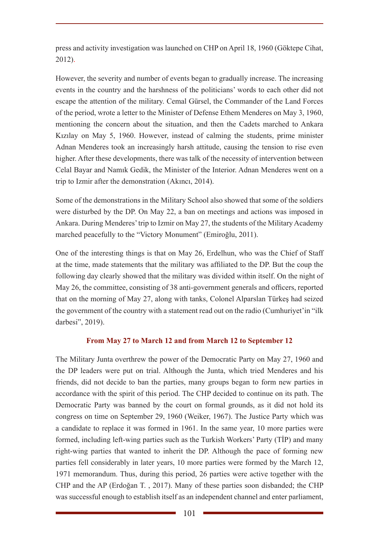press and activity investigation was launched on CHP on April 18, 1960 (Göktepe Cihat, 2012).

However, the severity and number of events began to gradually increase. The increasing events in the country and the harshness of the politicians' words to each other did not escape the attention of the military. Cemal Gürsel, the Commander of the Land Forces of the period, wrote a letter to the Minister of Defense Ethem Menderes on May 3, 1960, mentioning the concern about the situation, and then the Cadets marched to Ankara Kızılay on May 5, 1960. However, instead of calming the students, prime minister Adnan Menderes took an increasingly harsh attitude, causing the tension to rise even higher. After these developments, there was talk of the necessity of intervention between Celal Bayar and Namık Gedik, the Minister of the Interior. Adnan Menderes went on a trip to Izmir after the demonstration (Akıncı, 2014).

Some of the demonstrations in the Military School also showed that some of the soldiers were disturbed by the DP. On May 22, a ban on meetings and actions was imposed in Ankara. During Menderes' trip to Izmir on May 27, the students of the Military Academy marched peacefully to the "Victory Monument" (Emiroğlu, 2011).

One of the interesting things is that on May 26, Erdelhun, who was the Chief of Staff at the time, made statements that the military was affiliated to the DP. But the coup the following day clearly showed that the military was divided within itself. On the night of May 26, the committee, consisting of 38 anti-government generals and officers, reported that on the morning of May 27, along with tanks, Colonel Alparslan Türkeş had seized the government of the country with a statement read out on the radio (Cumhuriyet'in "ilk darbesi", 2019).

# **From May 27 to March 12 and from March 12 to September 12**

The Military Junta overthrew the power of the Democratic Party on May 27, 1960 and the DP leaders were put on trial. Although the Junta, which tried Menderes and his friends, did not decide to ban the parties, many groups began to form new parties in accordance with the spirit of this period. The CHP decided to continue on its path. The Democratic Party was banned by the court on formal grounds, as it did not hold its congress on time on September 29, 1960 (Weiker, 1967). The Justice Party which was a candidate to replace it was formed in 1961. In the same year, 10 more parties were formed, including left-wing parties such as the Turkish Workers' Party (TİP) and many right-wing parties that wanted to inherit the DP. Although the pace of forming new parties fell considerably in later years, 10 more parties were formed by the March 12, 1971 memorandum. Thus, during this period, 26 parties were active together with the CHP and the AP (Erdoğan T. , 2017). Many of these parties soon disbanded; the CHP was successful enough to establish itself as an independent channel and enter parliament,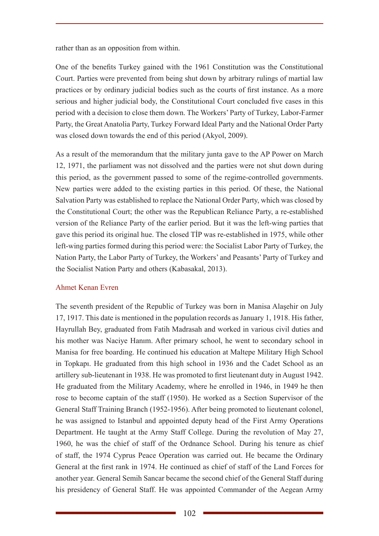rather than as an opposition from within.

One of the benefits Turkey gained with the 1961 Constitution was the Constitutional Court. Parties were prevented from being shut down by arbitrary rulings of martial law practices or by ordinary judicial bodies such as the courts of first instance. As a more serious and higher judicial body, the Constitutional Court concluded five cases in this period with a decision to close them down. The Workers' Party of Turkey, Labor-Farmer Party, the Great Anatolia Party, Turkey Forward Ideal Party and the National Order Party was closed down towards the end of this period (Akyol, 2009).

As a result of the memorandum that the military junta gave to the AP Power on March 12, 1971, the parliament was not dissolved and the parties were not shut down during this period, as the government passed to some of the regime-controlled governments. New parties were added to the existing parties in this period. Of these, the National Salvation Party was established to replace the National Order Party, which was closed by the Constitutional Court; the other was the Republican Reliance Party, a re-established version of the Reliance Party of the earlier period. But it was the left-wing parties that gave this period its original hue. The closed TİP was re-established in 1975, while other left-wing parties formed during this period were: the Socialist Labor Party of Turkey, the Nation Party, the Labor Party of Turkey, the Workers' and Peasants' Party of Turkey and the Socialist Nation Party and others (Kabasakal, 2013).

# Ahmet Kenan Evren

The seventh president of the Republic of Turkey was born in Manisa Alaşehir on July 17, 1917. This date is mentioned in the population records as January 1, 1918. His father, Hayrullah Bey, graduated from Fatih Madrasah and worked in various civil duties and his mother was Naciye Hanım. After primary school, he went to secondary school in Manisa for free boarding. He continued his education at Maltepe Military High School in Topkapı. He graduated from this high school in 1936 and the Cadet School as an artillery sub-lieutenant in 1938. He was promoted to first lieutenant duty in August 1942. He graduated from the Military Academy, where he enrolled in 1946, in 1949 he then rose to become captain of the staff (1950). He worked as a Section Supervisor of the General Staff Training Branch (1952-1956). After being promoted to lieutenant colonel, he was assigned to Istanbul and appointed deputy head of the First Army Operations Department. He taught at the Army Staff College. During the revolution of May 27, 1960, he was the chief of staff of the Ordnance School. During his tenure as chief of staff, the 1974 Cyprus Peace Operation was carried out. He became the Ordinary General at the first rank in 1974. He continued as chief of staff of the Land Forces for another year. General Semih Sancar became the second chief of the General Staff during his presidency of General Staff. He was appointed Commander of the Aegean Army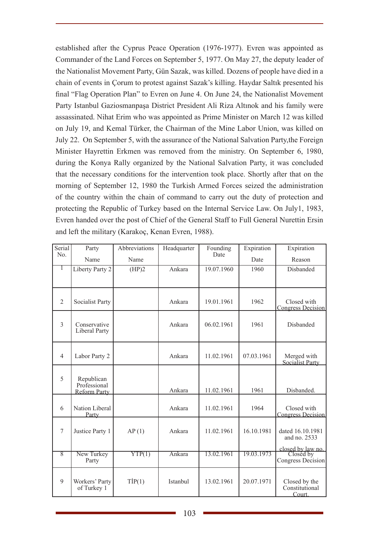established after the Cyprus Peace Operation (1976-1977). Evren was appointed as Commander of the Land Forces on September 5, 1977. On May 27, the deputy leader of the Nationalist Movement Party, Gün Sazak, was killed. Dozens of people have died in a chain of events in Çorum to protest against Sazak's killing. Haydar Saltık presented his final "Flag Operation Plan" to Evren on June 4. On June 24, the Nationalist Movement Party Istanbul Gaziosmanpaşa District President Ali Riza Altınok and his family were assassinated. Nihat Erim who was appointed as Prime Minister on March 12 was killed on July 19, and Kemal Türker, the Chairman of the Mine Labor Union, was killed on July 22. On September 5, with the assurance of the National Salvation Party,the Foreign Minister Hayrettin Erkmen was removed from the ministry. On September 6, 1980, during the Konya Rally organized by the National Salvation Party, it was concluded that the necessary conditions for the intervention took place. Shortly after that on the morning of September 12, 1980 the Turkish Armed Forces seized the administration of the country within the chain of command to carry out the duty of protection and protecting the Republic of Turkey based on the Internal Service Law. On July1, 1983, Evren handed over the post of Chief of the General Staff to Full General Nurettin Ersin and left the military (Karakoç, Kenan Evren, 1988).

| Serial         | Party                                             | Abbreviations | Headquarter | Founding   | Expiration | Expiration                                          |
|----------------|---------------------------------------------------|---------------|-------------|------------|------------|-----------------------------------------------------|
| N <sub>o</sub> | Name                                              | Name          |             | Date       | Date       | Reason                                              |
| 1              | Liberty Party 2                                   | (HP)2         | Ankara      | 19.07.1960 | 1960       | Disbanded                                           |
|                |                                                   |               |             |            |            |                                                     |
| $\overline{2}$ | Socialist Party                                   |               | Ankara      | 19.01.1961 | 1962       | Closed with<br><b>Congress Decision</b>             |
| $\mathfrak{Z}$ | Conservative<br><b>Liberal Party</b>              |               | Ankara      | 06.02.1961 | 1961       | Disbanded                                           |
| $\overline{4}$ | Labor Party 2                                     |               | Ankara      | 11.02.1961 | 07.03.1961 | Merged with<br><b>Socialist Party</b>               |
| 5              | Republican<br>Professional<br><b>Reform Party</b> |               | Ankara      | 11.02.1961 | 1961       | Disbanded.                                          |
| 6              | Nation Liberal<br><u>Party</u>                    |               | Ankara      | 11.02.1961 | 1964       | Closed with<br><b>Congress Decision</b>             |
| $\overline{7}$ | Justice Party 1                                   | AP(1)         | Ankara      | 11.02.1961 | 16.10.1981 | dated 16.10.1981<br>and no. 2533                    |
| ऱ              | New Turkey<br>Party                               | YTP(1)        | Ankara      | 13.02.1961 | 19.03.1973 | closed by law no.<br>Closed by<br>Congress Decision |
| 9              | Workers' Party<br>of Turkey 1                     | Tip(1)        | Istanbul    | 13.02.1961 | 20.07.1971 | Closed by the<br>Constitutional<br>Court.           |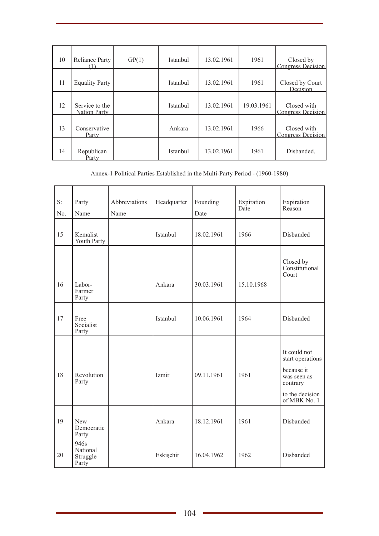| 10 | <b>Reliance Party</b>                 | GP(1) | Istanbul | 13.02.1961 | 1961       | Closed by<br>Congress Decision          |
|----|---------------------------------------|-------|----------|------------|------------|-----------------------------------------|
| 11 | <b>Equality Party</b>                 |       | Istanbul | 13.02.1961 | 1961       | Closed by Court<br>Decision             |
| 12 | Service to the<br><b>Nation Party</b> |       | Istanbul | 13.02.1961 | 19.03.1961 | Closed with<br><b>Congress Decision</b> |
| 13 | Conservative<br>Party                 |       | Ankara   | 13.02.1961 | 1966       | Closed with<br><b>Congress Decision</b> |
| 14 | Republican<br>Party                   |       | Istanbul | 13.02.1961 | 1961       | Disbanded.                              |

Annex-1 Political Parties Established in the Multi-Party Period - (1960-1980)

| $S$ :<br>No. | Party<br>Name                         | Abbreviations<br>Name | Headquarter | Founding<br>Date | Expiration<br>Date | Expiration<br>Reason                                                                                         |
|--------------|---------------------------------------|-----------------------|-------------|------------------|--------------------|--------------------------------------------------------------------------------------------------------------|
| 15           | Kemalist<br>Youth Party               |                       | Istanbul    | 18.02.1961       | 1966               | Disbanded                                                                                                    |
| 16           | Labor-<br>Farmer<br>Party             |                       | Ankara      | 30.03.1961       | 15.10.1968         | Closed by<br>Constitutional<br>Court                                                                         |
| 17           | Free<br>Socialist<br>Party            |                       | Istanbul    | 10.06.1961       | 1964               | Disbanded                                                                                                    |
| 18           | Revolution<br>Party                   |                       | Izmir       | 09.11.1961       | 1961               | It could not<br>start operations<br>because it<br>was seen as<br>contrary<br>to the decision<br>of MBK No. 1 |
| 19           | <b>New</b><br>Democratic<br>Party     |                       | Ankara      | 18.12.1961       | 1961               | Disbanded                                                                                                    |
| 20           | 946s<br>National<br>Struggle<br>Party |                       | Eskişehir   | 16.04.1962       | 1962               | Disbanded                                                                                                    |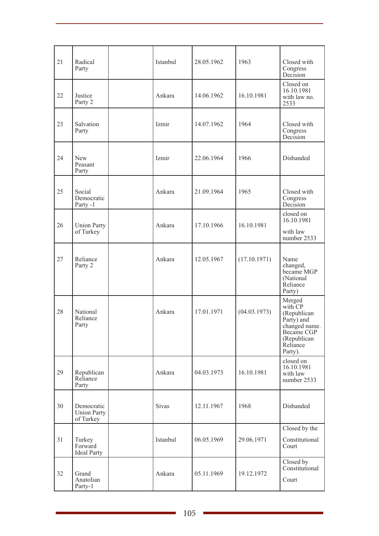| 21 | Radical<br>Party                              | Istanbul | 28.05.1962 | 1963         | Closed with<br>Congress<br>Decision                                                                                 |
|----|-----------------------------------------------|----------|------------|--------------|---------------------------------------------------------------------------------------------------------------------|
| 22 | Justice<br>Party 2                            | Ankara   | 14.06.1962 | 16.10.1981   | Closed on<br>16.10.1981<br>with law no.<br>2533                                                                     |
| 23 | Salvation<br>Party                            | Izmir    | 14.07.1962 | 1964         | Closed with<br>Congress<br>Decision                                                                                 |
| 24 | <b>New</b><br>Peasant<br>Party                | Izmir    | 22.06.1964 | 1966         | Disbanded                                                                                                           |
| 25 | Social<br>Democratic<br>Party -1              | Ankara   | 21.09.1964 | 1965         | Closed with<br>Congress<br>Decision                                                                                 |
| 26 | <b>Union Party</b><br>of Turkey               | Ankara   | 17.10.1966 | 16.10.1981   | closed on<br>16.10.1981<br>with law<br>number 2533                                                                  |
| 27 | Reliance<br>Party 2                           | Ankara   | 12.05.1967 | (17.10.1971) | Name<br>changed,<br>became MGP<br>(National<br>Reliance<br>Party)                                                   |
| 28 | National<br>Reliance<br>Party                 | Ankara   | 17.01.1971 | (04.03.1973) | Merged<br>with CP<br>(Republican<br>Party) and<br>changed name.<br>Became CGP<br>(Republican<br>Reliance<br>Party). |
| 29 | Republican<br>Reliance<br>Party               | Ankara   | 04.03.1973 | 16.10.1981   | closed on<br>16.10.1981<br>with law<br>number 2533                                                                  |
| 30 | Democratic<br><b>Union Party</b><br>of Turkey | Sivas    | 12.11.1967 | 1968         | Disbanded                                                                                                           |
| 31 | Turkey<br>Forward<br><b>Ideal Party</b>       | Istanbul | 06.05.1969 | 29.06.1971   | Closed by the<br>Constitutional<br>Court                                                                            |
| 32 | Grand<br>Anatolian<br>Party-1                 | Ankara   | 05.11.1969 | 19.12.1972   | Closed by<br>Constitutional<br>Court                                                                                |

÷,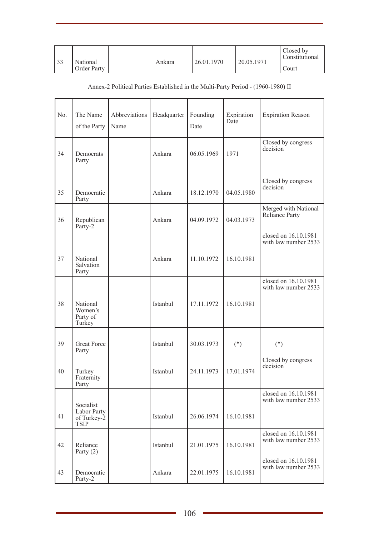| $\frac{33}{2}$ | National<br>Order Party |  | Ankara | 26.01.1970 | 20.05.1971 | Closed by<br>Constitutional<br>.)ourt |
|----------------|-------------------------|--|--------|------------|------------|---------------------------------------|
|----------------|-------------------------|--|--------|------------|------------|---------------------------------------|

#### Annex-2 Political Parties Established in the Multi-Party Period - (1960-1980) II

| No. | The Name<br>of the Party                               | Abbreviations<br>Name | Headquarter | Founding<br>Date | Expiration<br>Date | <b>Expiration Reason</b>                     |
|-----|--------------------------------------------------------|-----------------------|-------------|------------------|--------------------|----------------------------------------------|
| 34  | Democrats<br>Party                                     |                       | Ankara      | 06.05.1969       | 1971               | Closed by congress<br>decision               |
| 35  | Democratic<br>Party                                    |                       | Ankara      | 18.12.1970       | 04.05.1980         | Closed by congress<br>decision               |
| 36  | Republican<br>Party-2                                  |                       | Ankara      | 04.09.1972       | 04.03.1973         | Merged with National<br>Reliance Party       |
| 37  | National<br>Salvation<br>Party                         |                       | Ankara      | 11.10.1972       | 16.10.1981         | closed on 16.10.1981<br>with law number 2533 |
| 38  | National<br>Women's<br>Party of<br>Turkey              |                       | Istanbul    | 17.11.1972       | 16.10.1981         | closed on 16.10.1981<br>with law number 2533 |
| 39  | <b>Great Force</b><br>Party                            |                       | Istanbul    | 30.03.1973       | $(*)$              | $(*)$                                        |
| 40  | Turkey<br>Fraternity<br>Party                          |                       | Istanbul    | 24.11.1973       | 17.01.1974         | Closed by congress<br>decision               |
| 41  | Socialist<br>Labor Party<br>of Turkey-2<br><b>TSIP</b> |                       | Istanbul    | 26.06.1974       | 16.10.1981         | closed on 16.10.1981<br>with law number 2533 |
| 42  | Reliance<br>Party $(2)$                                |                       | Istanbul    | 21.01.1975       | 16.10.1981         | closed on 16.10.1981<br>with law number 2533 |
| 43  | Democratic<br>Party-2                                  |                       | Ankara      | 22.01.1975       | 16.10.1981         | closed on 16.10.1981<br>with law number 2533 |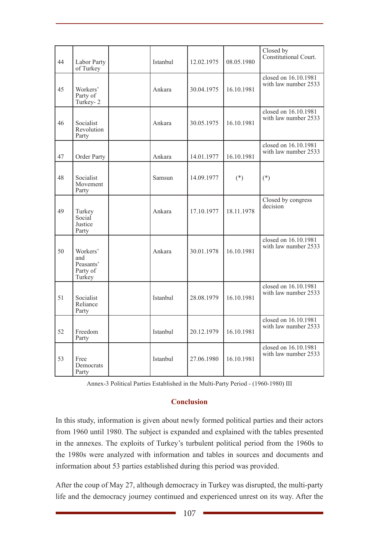| 44 | Labor Party<br>of Turkey                           | Istanbul | 12.02.1975 | 08.05.1980 | Closed by<br>Constitutional Court.           |
|----|----------------------------------------------------|----------|------------|------------|----------------------------------------------|
| 45 | Workers'<br>Party of<br>Turkey-2                   | Ankara   | 30.04.1975 | 16.10.1981 | closed on 16.10.1981<br>with law number 2533 |
| 46 | Socialist<br>Revolution<br>Party                   | Ankara   | 30.05.1975 | 16.10.1981 | closed on 16.10.1981<br>with law number 2533 |
| 47 | <b>Order Party</b>                                 | Ankara   | 14.01.1977 | 16.10.1981 | closed on 16.10.1981<br>with law number 2533 |
| 48 | Socialist<br>Movement<br>Party                     | Samsun   | 14.09.1977 | $(*)$      | $(*)$                                        |
| 49 | Turkey<br>Social<br>Justice<br>Party               | Ankara   | 17.10.1977 | 18.11.1978 | Closed by congress<br>decision               |
| 50 | Workers'<br>and<br>Peasants'<br>Party of<br>Turkey | Ankara   | 30.01.1978 | 16.10.1981 | closed on 16.10.1981<br>with law number 2533 |
| 51 | Socialist<br>Reliance<br>Party                     | Istanbul | 28.08.1979 | 16.10.1981 | closed on 16.10.1981<br>with law number 2533 |
| 52 | Freedom<br>Party                                   | Istanbul | 20.12.1979 | 16.10.1981 | closed on 16.10.1981<br>with law number 2533 |
| 53 | Free<br>Democrats<br>Party                         | Istanbul | 27.06.1980 | 16.10.1981 | closed on 16.10.1981<br>with law number 2533 |

Annex-3 Political Parties Established in the Multi-Party Period - (1960-1980) III

# **Conclusion**

In this study, information is given about newly formed political parties and their actors from 1960 until 1980. The subject is expanded and explained with the tables presented in the annexes. The exploits of Turkey's turbulent political period from the 1960s to the 1980s were analyzed with information and tables in sources and documents and information about 53 parties established during this period was provided.

After the coup of May 27, although democracy in Turkey was disrupted, the multi-party life and the democracy journey continued and experienced unrest on its way. After the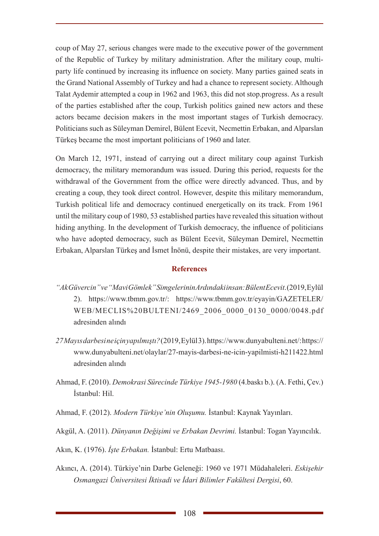coup of May 27, serious changes were made to the executive power of the government of the Republic of Turkey by military administration. After the military coup, multiparty life continued by increasing its influence on society. Many parties gained seats in the Grand National Assembly of Turkey and had a chance to represent society. Although Talat Aydemir attempted a coup in 1962 and 1963, this did not stop.progress. As a result of the parties established after the coup, Turkish politics gained new actors and these actors became decision makers in the most important stages of Turkish democracy. Politicians such as Süleyman Demirel, Bülent Ecevit, Necmettin Erbakan, and Alparslan Türkeş became the most important politicians of 1960 and later.

On March 12, 1971, instead of carrying out a direct military coup against Turkish democracy, the military memorandum was issued. During this period, requests for the withdrawal of the Government from the office were directly advanced. Thus, and by creating a coup, they took direct control. However, despite this military memorandum, Turkish political life and democracy continued energetically on its track. From 1961 until the military coup of 1980, 53 established parties have revealed this situation without hiding anything. In the development of Turkish democracy, the influence of politicians who have adopted democracy, such as Bülent Ecevit, Süleyman Demirel, Necmettin Erbakan, Alparslan Türkeş and İsmet İnönü, despite their mistakes, are very important.

#### **References**

- *"Ak Güvercin" ve "Mavi Gömlek" Simgelerinin Ardındaki insan: Bülent Ecevit*. (2019, Eylül 2). https://www.tbmm.gov.tr/: https://www.tbmm.gov.tr/eyayin/GAZETELER/ WEB/MECLIS%20BULTENI/2469\_2006\_0000\_0130\_0000/0048.pdf adresinden alındı
- *27 Mayıs darbesi ne için yapılmıştı?* (2019, Eylül 3). https://www.dunyabulteni.net/: https:// www.dunyabulteni.net/olaylar/27-mayis-darbesi-ne-icin-yapilmisti-h211422.html adresinden alındı
- Ahmad, F. (2010). *Demokrasi Sürecinde Türkiye 1945-1980* (4.baskı b.). (A. Fethi, Çev.) İstanbul: Hil.
- Ahmad, F. (2012). *Modern Türkiye'nin Oluşumu.* İstanbul: Kaynak Yayınları.
- Akgül, A. (2011). *Dünyanın Değişimi ve Erbakan Devrimi.* İstanbul: Togan Yayıncılık.
- Akın, K. (1976). *İşte Erbakan.* İstanbul: Ertu Matbaası.
- Akıncı, A. (2014). Türkiye'nin Darbe Geleneği: 1960 ve 1971 Müdahaleleri. *Eskişehir Osmangazi Üniversitesi İktisadi ve İdari Bilimler Fakültesi Dergisi*, 60.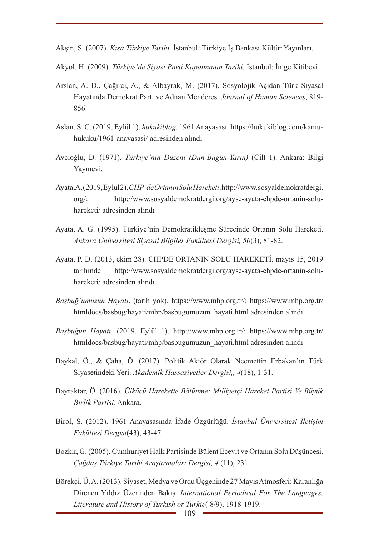Akşin, S. (2007). *Kısa Türkiye Tarihi.* İstanbul: Türkiye İş Bankası Kültür Yayınları.

- Akyol, H. (2009). *Türkiye'de Siyasi Parti Kapatmanın Tarihi.* İstanbul: İmge Kitibevi.
- Arslan, A. D., Çağırcı, A., & Albayrak, M. (2017). Sosyolojik Açıdan Türk Siyasal Hayatında Demokrat Parti ve Adnan Menderes. *Journal of Human Sciences*, 819- 856.
- Aslan, S. C. (2019, Eylül 1). *hukukiblog*. 1961 Anayasası: https://hukukiblog.com/kamuhukuku/1961-anayasasi/ adresinden alındı
- Avcıoğlu, D. (1971). *Türkiye'nin Düzeni (Dün-Bugün-Yarın)* (Cilt 1). Ankara: Bilgi Yayınevi.
- Ayata, A. (2019, Eylül 2). *CHP'de Ortanın Solu Hareketi*. http://www.sosyaldemokratdergi. org/: http://www.sosyaldemokratdergi.org/ayse-ayata-chpde-ortanin-soluhareketi/ adresinden alındı
- Ayata, A. G. (1995). Türkiye'nin Demokratikleşme Sürecinde Ortanın Solu Hareketi. *Ankara Üniversitesi Siyasal Bilgiler Fakültesi Dergisi, 50*(3), 81-82.
- Ayata, P. D. (2013, ekim 28). CHPDE ORTANIN SOLU HAREKETİ. mayıs 15, 2019 tarihinde http://www.sosyaldemokratdergi.org/ayse-ayata-chpde-ortanin-soluhareketi/ adresinden alındı
- *Başbuğ'umuzun Hayatı*. (tarih yok). https://www.mhp.org.tr/: https://www.mhp.org.tr/ htmldocs/basbug/hayati/mhp/basbugumuzun\_hayati.html adresinden alındı
- *Başbuğun Hayatı*. (2019, Eylül 1). http://www.mhp.org.tr/: https://www.mhp.org.tr/ htmldocs/basbug/hayati/mhp/basbugumuzun\_hayati.html adresinden alındı
- Baykal, Ö., & Çaha, Ö. (2017). Politik Aktör Olarak Necmettin Erbakan'ın Türk Siyasetindeki Yeri. *Akademik Hassasiyetler Dergisi,, 4*(18), 1-31.
- Bayraktar, Ö. (2016). *Ülkücü Harekette Bölünme: Milliyetçi Hareket Partisi Ve Büyük Birlik Partisi.* Ankara.
- Birol, S. (2012). 1961 Anayasasında İfade Özgürlüğü. *İstanbul Üniversitesi İletişim Fakültesi Dergisi*(43), 43-47.
- Bozkır, G. (2005). Cumhuriyet Halk Partisinde Bülent Ecevit ve Ortanın Solu Düşüncesi. *Çağdaş Türkiye Tarihi Araştırmaları Dergisi, 4* (11), 231.
- Börekçi, Ü. A. (2013). Siyaset, Medya ve Ordu Üçgeninde 27 Mayıs Atmosferi: Karanlığa Direnen Yıldız Üzerinden Bakış. *International Periodical For The Languages, Literature and History of Turkish or Turkic*( 8/9), 1918-1919.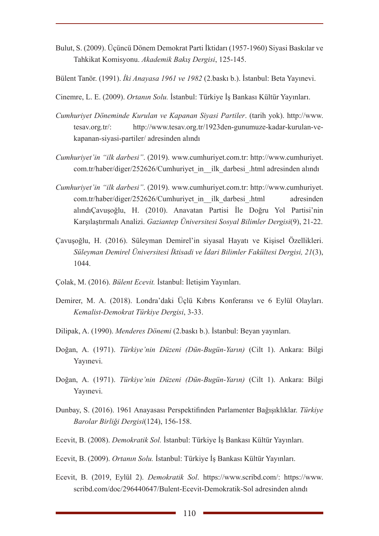- Bulut, S. (2009). Üçüncü Dönem Demokrat Parti İktidarı (1957-1960) Siyasi Baskılar ve Tahkikat Komisyonu. *Akademik Bakış Dergisi*, 125-145.
- Bülent Tanör. (1991). *İki Anayasa 1961 ve 1982* (2.baskı b.). İstanbul: Beta Yayınevi.
- Cinemre, L. E. (2009). *Ortanın Solu.* İstanbul: Türkiye İş Bankası Kültür Yayınları.
- *Cumhuriyet Döneminde Kurulan ve Kapanan Siyasi Partiler*. (tarih yok). http://www. tesav.org.tr/: http://www.tesav.org.tr/1923den-gunumuze-kadar-kurulan-vekapanan-siyasi-partiler/ adresinden alındı
- *Cumhuriyet'in "ilk darbesi"*. (2019). www.cumhuriyet.com.tr: http://www.cumhuriyet. com.tr/haber/diger/252626/Cumhuriyet in ilk darbesi .html adresinden alındı
- *Cumhuriyet'in "ilk darbesi"*. (2019). www.cumhuriyet.com.tr: http://www.cumhuriyet. com.tr/haber/diger/252626/Cumhuriyet\_in\_\_ilk\_darbesi\_.html adresinden alındıÇavuşoğlu, H. (2010). Anavatan Partisi İle Doğru Yol Partisi'nin Karşılaştırmalı Analizi. *Gaziantep Üniversitesi Sosyal Bilimler Dergisi*(9), 21-22.
- Çavuşoğlu, H. (2016). Süleyman Demirel'in siyasal Hayatı ve Kişisel Özellikleri. *Süleyman Demirel Üniversitesi İktisadi ve İdari Bilimler Fakültesi Dergisi, 21*(3), 1044.
- Çolak, M. (2016). *Bülent Ecevit.* İstanbul: İletişim Yayınları.
- Demirer, M. A. (2018). Londra'daki Üçlü Kıbrıs Konferansı ve 6 Eylül Olayları. *Kemalist-Demokrat Türkiye Dergisi*, 3-33.
- Dilipak, A. (1990). *Menderes Dönemi* (2.baskı b.). İstanbul: Beyan yayınları.
- Doğan, A. (1971). *Türkiye'nin Düzeni (Dün-Bugün-Yarın)* (Cilt 1). Ankara: Bilgi Yayınevi.
- Doğan, A. (1971). *Türkiye'nin Düzeni (Dün-Bugün-Yarın)* (Cilt 1). Ankara: Bilgi Yayınevi.
- Dunbay, S. (2016). 1961 Anayasası Perspektifinden Parlamenter Bağışıklıklar. *Türkiye Barolar Birliği Dergisi*(124), 156-158.
- Ecevit, B. (2008). *Demokratik Sol.* İstanbul: Türkiye İş Bankası Kültür Yayınları.
- Ecevit, B. (2009). *Ortanın Solu.* İstanbul: Türkiye İş Bankası Kültür Yayınları.
- Ecevit, B. (2019, Eylül 2). *Demokratik Sol*. https://www.scribd.com/: https://www. scribd.com/doc/296440647/Bulent-Ecevit-Demokratik-Sol adresinden alındı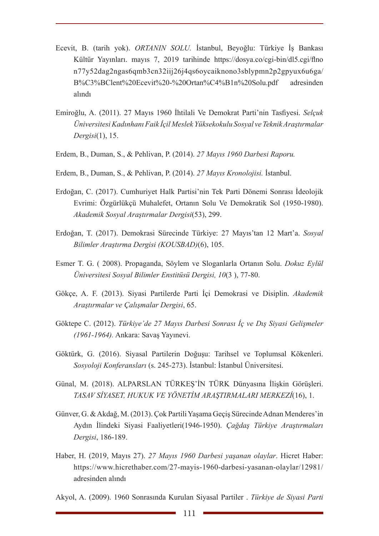- Ecevit, B. (tarih yok). *ORTANIN SOLU.* İstanbul, Beyoğlu: Türkiye İş Bankası Kültür Yayınları. mayıs 7, 2019 tarihinde https://dosya.co/cgi-bin/dl5.cgi/flno n77y52dag2ngas6qmb3cn32iij26j4qs6oycaiknono3sblypmn2p2gpyux6u6ga/ B%C3%BClent%20Ecevit%20-%20Ortan%C4%B1n%20Solu.pdf adresinden alındı
- Emiroğlu, A. (2011). 27 Mayıs 1960 İhtilali Ve Demokrat Parti'nin Tasfiyesi. *Selçuk Üniversitesi Kadınhanı Faik İçil Meslek Yüksekokulu Sosyal ve Teknik Araştırmalar Dergisi*(1), 15.
- Erdem, B., Duman, S., & Pehlivan, P. (2014). *27 Mayıs 1960 Darbesi Raporu.*
- Erdem, B., Duman, S., & Pehlivan, P. (2014). *27 Mayıs Kronolojisi.* İstanbul.
- Erdoğan, C. (2017). Cumhuriyet Halk Partisi'nin Tek Parti Dönemi Sonrası İdeolojik Evrimi: Özgürlükçü Muhalefet, Ortanın Solu Ve Demokratik Sol (1950-1980). *Akademik Sosyal Araştırmalar Dergisi*(53), 299.
- Erdoğan, T. (2017). Demokrasi Sürecinde Türkiye: 27 Mayıs'tan 12 Mart'a. *Sosyal Bilimler Araştırma Dergisi (KOUSBAD)*(6), 105.
- Esmer T. G. ( 2008). Propaganda, Söylem ve Sloganlarla Ortanın Solu. *Dokuz Eylül Üniversitesi Sosyal Bilimler Enstitüsü Dergisi, 10*(3 ), 77-80.
- Gökçe, A. F. (2013). Siyasi Partilerde Parti İçi Demokrasi ve Disiplin. *Akademik Araştırmalar ve Çalışmalar Dergisi*, 65.
- Göktepe C. (2012). *Türkiye'de 27 Mayıs Darbesi Sonrası İç ve Dış Siyasi Gelişmeler (1961-1964).* Ankara: Savaş Yayınevi.
- Göktürk, G. (2016). Siyasal Partilerin Doğuşu: Tarihsel ve Toplumsal Kökenleri. *Sosyoloji Konferansları* (s. 245-273). İstanbul: İstanbul Üniversitesi.
- Günal, M. (2018). ALPARSLAN TÜRKEŞ'İN TÜRK Dünyasına İlişkin Görüşleri. *TASAV SİYASET, HUKUK VE YÖNETİM ARAŞTIRMALARI MERKEZİ*(16), 1.
- Günver, G. & Akdağ, M. (2013). Çok Partili Yaşama Geçiş Sürecinde Adnan Menderes'in Aydın İlindeki Siyasi Faaliyetleri(1946-1950). *Çağdaş Türkiye Araştırmaları Dergisi*, 186-189.
- Haber, H. (2019, Mayıs 27). *27 Mayıs 1960 Darbesi yaşanan olaylar*. Hicret Haber: https://www.hicrethaber.com/27-mayis-1960-darbesi-yasanan-olaylar/12981/ adresinden alındı
- Akyol, A. (2009). 1960 Sonrasında Kurulan Siyasal Partiler . *Türkiye de Siyasi Parti*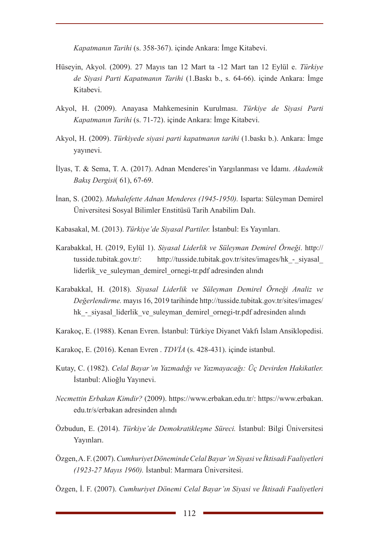*Kapatmanın Tarihi* (s. 358-367). içinde Ankara: İmge Kitabevi.

- Hüseyin, Akyol. (2009). 27 Mayıs tan 12 Mart ta -12 Mart tan 12 Eylül e. *Türkiye de Siyasi Parti Kapatmanın Tarihi* (1.Baskı b., s. 64-66). içinde Ankara: İmge Kitabevi.
- Akyol, H. (2009). Anayasa Mahkemesinin Kurulması. *Türkiye de Siyasi Parti Kapatmanın Tarihi* (s. 71-72). içinde Ankara: İmge Kitabevi.
- Akyol, H. (2009). *Türkiyede siyasi parti kapatmanın tarihi* (1.baskı b.). Ankara: İmge yayınevi.
- İlyas, T. & Sema, T. A. (2017). Adnan Menderes'in Yargılanması ve İdamı. *Akademik Bakış Dergisi*( 61), 67-69.
- İnan, S. (2002). *Muhalefette Adnan Menderes (1945-1950).* Isparta: Süleyman Demirel Üniversitesi Sosyal Bilimler Enstitüsü Tarih Anabilim Dalı.
- Kabasakal, M. (2013). *Türkiye'de Siyasal Partiler.* İstanbul: Es Yayınları.
- Karabakkal, H. (2019, Eylül 1). *Siyasal Liderlik ve Süleyman Demirel Örneği*. http:// tusside.tubitak.gov.tr/: http://tusside.tubitak.gov.tr/sites/images/hk - siyasal liderlik ve suleyman demirel ornegi-tr.pdf adresinden alındı
- Karabakkal, H. (2018). *Siyasal Liderlik ve Süleyman Demirel Örneği Analiz ve Değerlendirme.* mayıs 16, 2019 tarihinde http://tusside.tubitak.gov.tr/sites/images/ hk - siyasal\_liderlik\_ve\_suleyman\_demirel\_ornegi-tr.pdf adresinden alındı
- Karakoç, E. (1988). Kenan Evren. İstanbul: Türkiye Diyanet Vakfı İslam Ansiklopedisi.
- Karakoç, E. (2016). Kenan Evren . *TDVİA* (s. 428-431). içinde istanbul.
- Kutay, C. (1982). *Celal Bayar'ın Yazmadığı ve Yazmayacağı: Üç Devirden Hakikatler.* İstanbul: Alioğlu Yayınevi.
- *Necmettin Erbakan Kimdir?* (2009). https://www.erbakan.edu.tr/: https://www.erbakan. edu.tr/s/erbakan adresinden alındı
- Özbudun, E. (2014). *Türkiye'de Demokratikleşme Süreci.* İstanbul: Bilgi Üniversitesi Yayınları.
- Özgen, A. F. (2007). *Cumhuriyet Döneminde Celal Bayar'ın Siyasi ve İktisadi Faaliyetleri (1923-27 Mayıs 1960).* İstanbul: Marmara Üniversitesi.

Özgen, İ. F. (2007). *Cumhuriyet Dönemi Celal Bayar'ın Siyasi ve İktisadi Faaliyetleri*